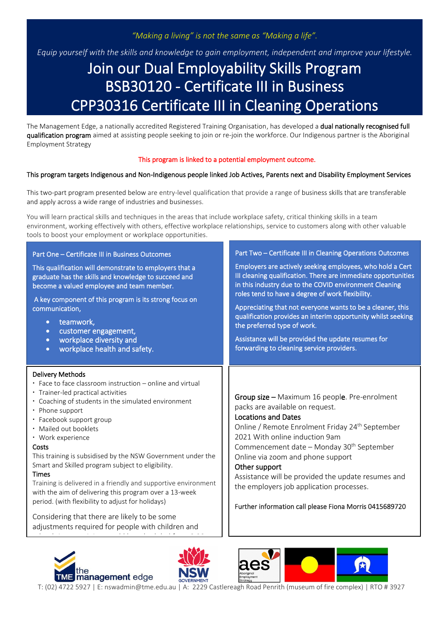# *"Making a living" is not the same as "Making a life".*

*Equip yourself with the skills and knowledge to gain employment, independent and improve your lifestyle.*

# Join our Dual Employability Skills Program BSB30120 - Certificate III in Business CPP30316 Certificate III in Cleaning Operations

The Management Edge, a nationally accredited Registered Training Organisation, has developed a **dual nationally recognised full**<br>mulification anomene simed at essisting nearly seaking to isin anno isin the weakfance. Quali qualification program aimed at assisting people seeking to join or re-join the workforce. Our Indigenous partner is the Aboriginal Employment Strategy

#### This program is linked to a potential employment outcome.

#### This program targets Indigenous and Non-Indigenous people linked Job Actives, Parents next and Disability Employment Services

This two-part program presented below are entry-level qualification that provide a range of business skills that are transferable and apply across a wide range of industries and businesses.

You will learn practical skills and techniques in the areas that include workplace safety, critical thinking skills in a team environment, working effectively with others, effective workplace relationships, service to customers along with other valuable tools to boost your employment or workplace opportunities.

| Part One - Certificate III in Business Outcomes<br>This qualification will demonstrate to employers that a<br>graduate has the skills and knowledge to succeed and<br>become a valued employee and team member.<br>A key component of this program is its strong focus on<br>communication,<br>teamwork,<br>$\bullet$<br>customer engagement,<br>$\bullet$<br>workplace diversity and<br>$\bullet$<br>workplace health and safety.<br>$\bullet$                                                                                                                                                                                                                                                                   | Part Two - Certificate III in Cleaning Operations Outcomes<br>Employers are actively seeking employees, who hold a Cert<br>III cleaning qualification. There are immediate opportunities<br>in this industry due to the COVID environment Cleaning<br>roles tend to have a degree of work flexibility.<br>Appreciating that not everyone wants to be a cleaner, this<br>qualification provides an interim opportunity whilst seeking<br>the preferred type of work.<br>Assistance will be provided the update resumes for<br>forwarding to cleaning service providers. |
|-------------------------------------------------------------------------------------------------------------------------------------------------------------------------------------------------------------------------------------------------------------------------------------------------------------------------------------------------------------------------------------------------------------------------------------------------------------------------------------------------------------------------------------------------------------------------------------------------------------------------------------------------------------------------------------------------------------------|------------------------------------------------------------------------------------------------------------------------------------------------------------------------------------------------------------------------------------------------------------------------------------------------------------------------------------------------------------------------------------------------------------------------------------------------------------------------------------------------------------------------------------------------------------------------|
| <b>Delivery Methods</b><br>· Face to face classroom instruction - online and virtual<br>· Trainer-led practical activities<br>• Coaching of students in the simulated environment<br>• Phone support<br>· Facebook support group<br>· Mailed out booklets<br>· Work experience<br>Costs<br>This training is subsidised by the NSW Government under the<br>Smart and Skilled program subject to eligibility.<br><b>Times</b><br>Training is delivered in a friendly and supportive environment<br>with the aim of delivering this program over a 13-week<br>period. (with flexibility to adjust for holidays)<br>Considering that there are likely to be some<br>adjustments required for people with children and | Group size - Maximum 16 people. Pre-enrolment<br>packs are available on request.<br><b>Locations and Dates</b><br>Online / Remote Enrolment Friday 24 <sup>th</sup> September<br>2021 With online induction 9am<br>Commencement date - Monday 30 <sup>th</sup> September<br>Online via zoom and phone support<br>Other support<br>Assistance will be provided the update resumes and<br>the employers job application processes.<br>Further information call please Fiona Morris 0415689720                                                                            |



I I I I I I

I

I





T: (02) 4722 5927 | E: nswadmin@tme.edu.au | A: 2229 Castlereagh Road Penrith (museum of fire complex) | RTO # 3927